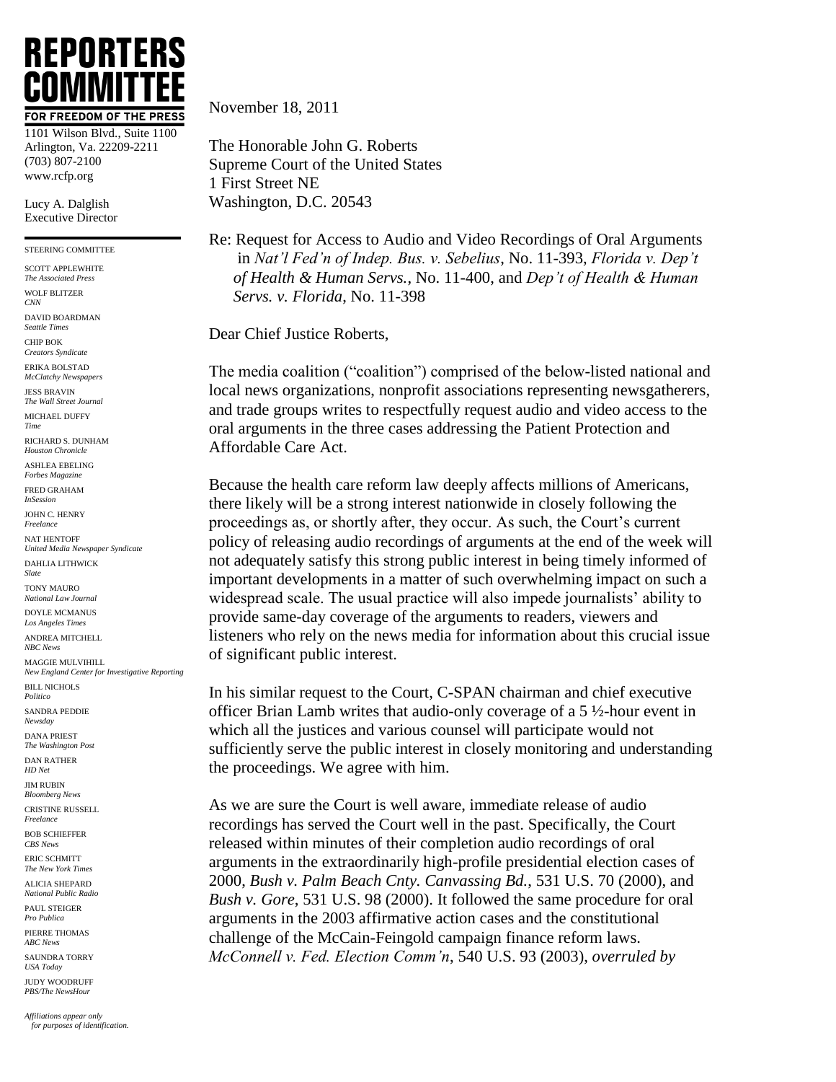## **REPORTERS** COMMIT1 FOR FREEDOM OF THE PRESS

1101 Wilson Blvd., Suite 1100 Arlington, Va. 22209-2211 (703) 807-2100 www.rcfp.org

Lucy A. Dalglish Executive Director

STEERING COMMITTEE

SCOTT APPLEWHITE *The Associated Press* WOLF BLITZER *CNN*

DAVID BOARDMAN *Seattle Times*

CHIP BOK *Creators Syndicate*

ERIKA BOLSTAD *McClatchy Newspapers*

JESS BRAVIN *The Wall Street Journal* MICHAEL DUFFY

*Time*

RICHARD S. DUNHAM *Houston Chronicle*

ASHLEA EBELING *Forbes Magazine*

FRED GRAHAM *InSession*

JOHN C. HENRY *Freelance*

NAT HENTOFF *United Media Newspaper Syndicate*

DAHLIA LITHWICK *Slate* TONY MAURO

*National Law Journal* DOYLE MCMANUS

*Los Angeles Times* ANDREA MITCHELL

*NBC News* MAGGIE MULVIHILL *New England Center for Investigative Reporting*

BILL NICHOLS *Politico*

SANDRA PEDDIE *Newsday*

DANA PRIEST *The Washington Post*

DAN RATHER *HD Net*

JIM RUBIN *Bloomberg News*

CRISTINE RUSSELL *Freelance*

BOB SCHIEFFER *CBS News*

ERIC SCHMITT *The New York Times*

ALICIA SHEPARD *National Public Radio*

PAUL STEIGER *Pro Publica*

PIERRE THOMAS *ABC News*

SAUNDRA TORRY *USA Today*

JUDY WOODRUFF *PBS/The NewsHour*

*Affiliations appear only for purposes of identification.* November 18, 2011

The Honorable John G. Roberts Supreme Court of the United States 1 First Street NE Washington, D.C. 20543

Re: Request for Access to Audio and Video Recordings of Oral Arguments in *Nat'l Fed'n of Indep. Bus. v. Sebelius*, No. 11-393, *Florida v. Dep't of Health & Human Servs.*, No. 11-400, and *Dep't of Health & Human Servs. v. Florida*, No. 11-398

Dear Chief Justice Roberts,

The media coalition ("coalition") comprised of the below-listed national and local news organizations, nonprofit associations representing newsgatherers, and trade groups writes to respectfully request audio and video access to the oral arguments in the three cases addressing the Patient Protection and Affordable Care Act.

Because the health care reform law deeply affects millions of Americans, there likely will be a strong interest nationwide in closely following the proceedings as, or shortly after, they occur. As such, the Court's current policy of releasing audio recordings of arguments at the end of the week will not adequately satisfy this strong public interest in being timely informed of important developments in a matter of such overwhelming impact on such a widespread scale. The usual practice will also impede journalists' ability to provide same-day coverage of the arguments to readers, viewers and listeners who rely on the news media for information about this crucial issue of significant public interest.

In his similar request to the Court, C-SPAN chairman and chief executive officer Brian Lamb writes that audio-only coverage of a 5 ½-hour event in which all the justices and various counsel will participate would not sufficiently serve the public interest in closely monitoring and understanding the proceedings. We agree with him.

As we are sure the Court is well aware, immediate release of audio recordings has served the Court well in the past. Specifically, the Court released within minutes of their completion audio recordings of oral arguments in the extraordinarily high-profile presidential election cases of 2000, *Bush v. Palm Beach Cnty. Canvassing Bd.*, 531 U.S. 70 (2000), and *Bush v. Gore*, 531 U.S. 98 (2000). It followed the same procedure for oral arguments in the 2003 affirmative action cases and the constitutional challenge of the McCain-Feingold campaign finance reform laws. *McConnell v. Fed. Election Comm'n*, 540 U.S. 93 (2003), *overruled by*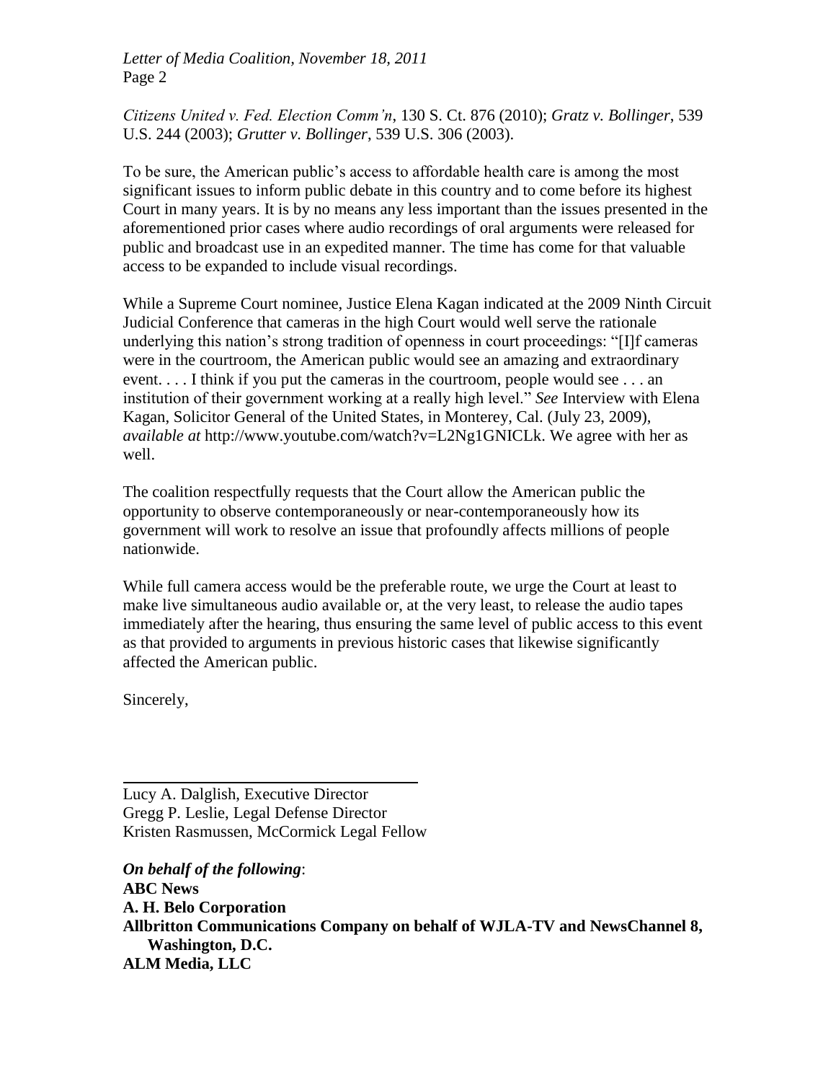*Letter of Media Coalition, November 18, 2011* Page 2

*Citizens United v. Fed. Election Comm'n*, 130 S. Ct. 876 (2010); *Gratz v. Bollinger*, 539 U.S. 244 (2003); *Grutter v. Bollinger*, 539 U.S. 306 (2003).

To be sure, the American public's access to affordable health care is among the most significant issues to inform public debate in this country and to come before its highest Court in many years. It is by no means any less important than the issues presented in the aforementioned prior cases where audio recordings of oral arguments were released for public and broadcast use in an expedited manner. The time has come for that valuable access to be expanded to include visual recordings.

While a Supreme Court nominee, Justice Elena Kagan indicated at the 2009 Ninth Circuit Judicial Conference that cameras in the high Court would well serve the rationale underlying this nation's strong tradition of openness in court proceedings: "[I]f cameras were in the courtroom, the American public would see an amazing and extraordinary event.... I think if you put the cameras in the courtroom, people would see ... an institution of their government working at a really high level." *See* Interview with Elena Kagan, Solicitor General of the United States, in Monterey, Cal. (July 23, 2009), *available at* http://www.youtube.com/watch?v=L2Ng1GNICLk. We agree with her as well.

The coalition respectfully requests that the Court allow the American public the opportunity to observe contemporaneously or near-contemporaneously how its government will work to resolve an issue that profoundly affects millions of people nationwide.

While full camera access would be the preferable route, we urge the Court at least to make live simultaneous audio available or, at the very least, to release the audio tapes immediately after the hearing, thus ensuring the same level of public access to this event as that provided to arguments in previous historic cases that likewise significantly affected the American public.

Sincerely,

Lucy A. Dalglish, Executive Director Gregg P. Leslie, Legal Defense Director Kristen Rasmussen, McCormick Legal Fellow

*On behalf of the following*: **ABC News A. H. Belo Corporation Allbritton Communications Company on behalf of WJLA-TV and NewsChannel 8, Washington, D.C. ALM Media, LLC**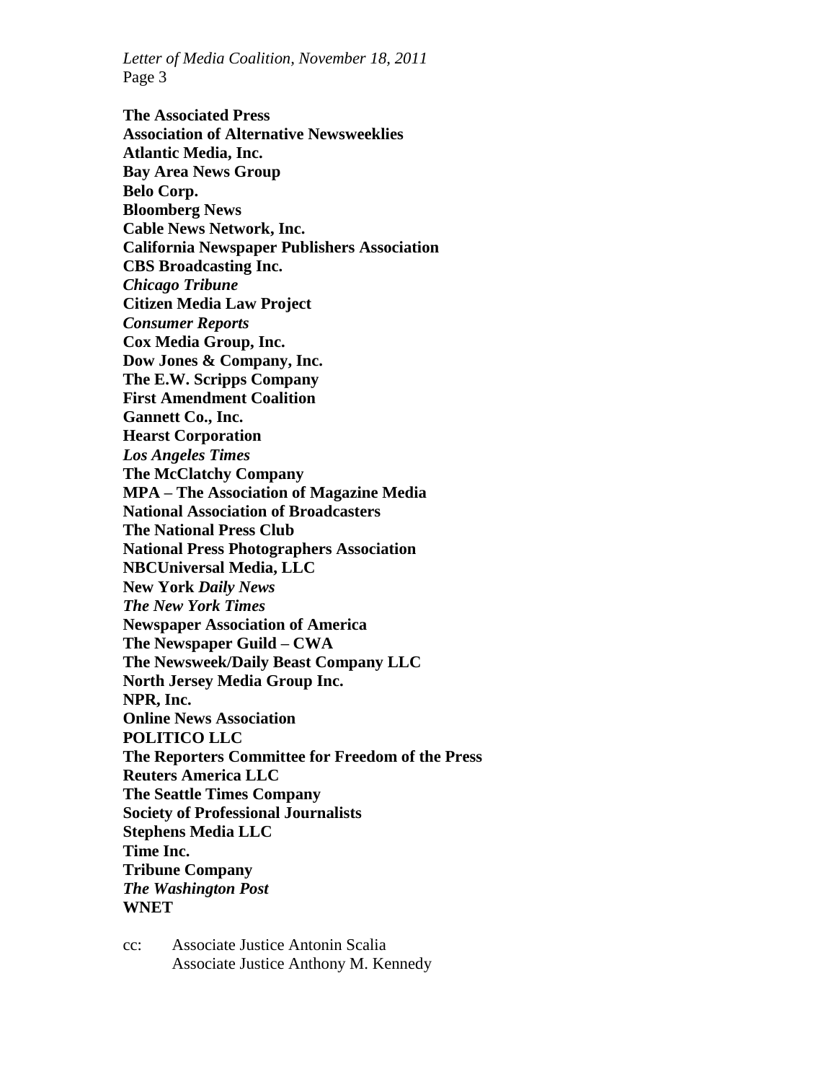*Letter of Media Coalition, November 18, 2011* Page 3

**The Associated Press Association of Alternative Newsweeklies Atlantic Media, Inc. Bay Area News Group Belo Corp. Bloomberg News Cable News Network, Inc. California Newspaper Publishers Association CBS Broadcasting Inc.** *Chicago Tribune*  **Citizen Media Law Project** *Consumer Reports*  **Cox Media Group, Inc. Dow Jones & Company, Inc. The E.W. Scripps Company First Amendment Coalition Gannett Co., Inc. Hearst Corporation**  *Los Angeles Times*  **The McClatchy Company MPA – The Association of Magazine Media National Association of Broadcasters The National Press Club National Press Photographers Association NBCUniversal Media, LLC New York** *Daily News The New York Times* **Newspaper Association of America The Newspaper Guild – CWA The Newsweek/Daily Beast Company LLC North Jersey Media Group Inc. NPR, Inc. Online News Association POLITICO LLC The Reporters Committee for Freedom of the Press Reuters America LLC The Seattle Times Company Society of Professional Journalists Stephens Media LLC Time Inc. Tribune Company** *The Washington Post* **WNET**

cc: Associate Justice Antonin Scalia Associate Justice Anthony M. Kennedy